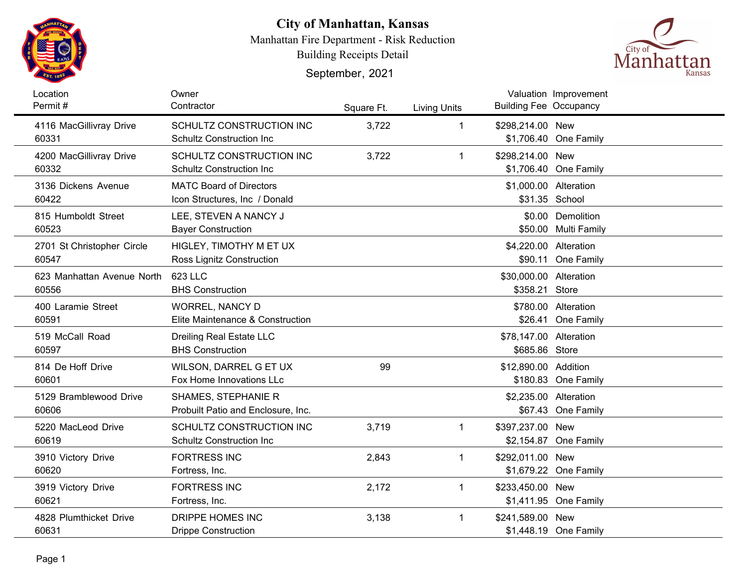

## **City of Manhattan, Kansas**

Manhattan Fire Department - Risk Reduction

Building Receipts Detail

September, 2021



| Location<br>Permit#                 | Owner<br>Contractor                                              | Square Ft. | <b>Living Units</b> | <b>Building Fee Occupancy</b>            | Valuation Improvement                     |
|-------------------------------------|------------------------------------------------------------------|------------|---------------------|------------------------------------------|-------------------------------------------|
| 4116 MacGillivray Drive<br>60331    | SCHULTZ CONSTRUCTION INC<br><b>Schultz Construction Inc.</b>     | 3,722      | $\mathbf 1$         | \$298,214.00 New                         | \$1,706.40 One Family                     |
| 4200 MacGillivray Drive<br>60332    | SCHULTZ CONSTRUCTION INC<br><b>Schultz Construction Inc.</b>     | 3,722      | $\mathbf 1$         | \$298,214.00 New                         | \$1,706.40 One Family                     |
| 3136 Dickens Avenue<br>60422        | <b>MATC Board of Directors</b><br>Icon Structures, Inc / Donald  |            |                     | \$1,000.00 Alteration                    | \$31.35 School                            |
| 815 Humboldt Street<br>60523        | LEE, STEVEN A NANCY J<br><b>Bayer Construction</b>               |            |                     |                                          | \$0.00 Demolition<br>\$50.00 Multi Family |
| 2701 St Christopher Circle<br>60547 | HIGLEY, TIMOTHY M ET UX<br>Ross Lignitz Construction             |            |                     | \$4,220.00 Alteration                    | \$90.11 One Family                        |
| 623 Manhattan Avenue North<br>60556 | 623 LLC<br><b>BHS Construction</b>                               |            |                     | \$30,000.00 Alteration<br>\$358.21 Store |                                           |
| 400 Laramie Street<br>60591         | <b>WORREL, NANCY D</b><br>Elite Maintenance & Construction       |            |                     |                                          | \$780.00 Alteration<br>\$26.41 One Family |
| 519 McCall Road<br>60597            | Dreiling Real Estate LLC<br><b>BHS Construction</b>              |            |                     | \$78,147.00 Alteration<br>\$685.86 Store |                                           |
| 814 De Hoff Drive<br>60601          | WILSON, DARREL G ET UX<br>Fox Home Innovations LLc               | 99         |                     | \$12,890.00 Addition                     | \$180.83 One Family                       |
| 5129 Bramblewood Drive<br>60606     | <b>SHAMES, STEPHANIE R</b><br>Probuilt Patio and Enclosure, Inc. |            |                     | \$2,235.00 Alteration                    | \$67.43 One Family                        |
| 5220 MacLeod Drive<br>60619         | SCHULTZ CONSTRUCTION INC<br><b>Schultz Construction Inc.</b>     | 3,719      | 1                   | \$397,237.00 New                         | \$2,154.87 One Family                     |
| 3910 Victory Drive<br>60620         | <b>FORTRESS INC</b><br>Fortress, Inc.                            | 2,843      | 1                   | \$292,011.00 New                         | \$1,679.22 One Family                     |
| 3919 Victory Drive<br>60621         | <b>FORTRESS INC</b><br>Fortress, Inc.                            | 2,172      | 1                   | \$233,450.00 New                         | \$1,411.95 One Family                     |
| 4828 Plumthicket Drive<br>60631     | DRIPPE HOMES INC<br><b>Drippe Construction</b>                   | 3,138      | 1                   | \$241,589.00 New                         | \$1,448.19 One Family                     |
|                                     |                                                                  |            |                     |                                          |                                           |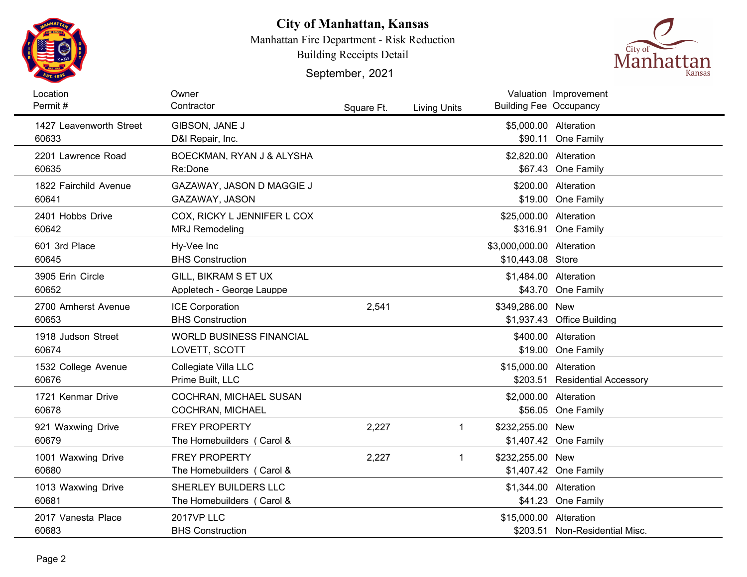

## **City of Manhattan, Kansas**

Manhattan Fire Department - Risk Reduction

Building Receipts Detail

September, 2021



| Location<br>Permit#              | Owner<br>Contractor                                  | Square Ft. | <b>Living Units</b> | <b>Building Fee Occupancy</b>                  | Valuation Improvement                     |
|----------------------------------|------------------------------------------------------|------------|---------------------|------------------------------------------------|-------------------------------------------|
| 1427 Leavenworth Street<br>60633 | GIBSON, JANE J<br>D&I Repair, Inc.                   |            |                     | \$5,000.00 Alteration                          | \$90.11 One Family                        |
| 2201 Lawrence Road<br>60635      | BOECKMAN, RYAN J & ALYSHA<br>Re:Done                 |            |                     | \$2,820.00 Alteration                          | \$67.43 One Family                        |
| 1822 Fairchild Avenue<br>60641   | GAZAWAY, JASON D MAGGIE J<br>GAZAWAY, JASON          |            |                     |                                                | \$200.00 Alteration<br>\$19.00 One Family |
| 2401 Hobbs Drive<br>60642        | COX, RICKY L JENNIFER L COX<br><b>MRJ Remodeling</b> |            |                     | \$25,000.00 Alteration                         | \$316.91 One Family                       |
| 601 3rd Place<br>60645           | Hy-Vee Inc<br><b>BHS Construction</b>                |            |                     | \$3,000,000.00 Alteration<br>\$10,443.08 Store |                                           |
| 3905 Erin Circle<br>60652        | GILL, BIKRAM S ET UX<br>Appletech - George Lauppe    |            |                     | \$1,484.00 Alteration                          | \$43.70 One Family                        |
| 2700 Amherst Avenue<br>60653     | <b>ICE Corporation</b><br><b>BHS Construction</b>    | 2,541      |                     | \$349,286.00 New                               | \$1,937.43 Office Building                |
| 1918 Judson Street<br>60674      | <b>WORLD BUSINESS FINANCIAL</b><br>LOVETT, SCOTT     |            |                     |                                                | \$400.00 Alteration<br>\$19.00 One Family |
| 1532 College Avenue<br>60676     | Collegiate Villa LLC<br>Prime Built, LLC             |            |                     | \$15,000.00 Alteration                         | \$203.51 Residential Accessory            |
| 1721 Kenmar Drive<br>60678       | COCHRAN, MICHAEL SUSAN<br>COCHRAN, MICHAEL           |            |                     | \$2,000.00 Alteration                          | \$56.05 One Family                        |
| 921 Waxwing Drive<br>60679       | <b>FREY PROPERTY</b><br>The Homebuilders (Carol &    | 2,227      | $\mathbf{1}$        | \$232,255.00 New                               | \$1,407.42 One Family                     |
| 1001 Waxwing Drive<br>60680      | <b>FREY PROPERTY</b><br>The Homebuilders (Carol &    | 2,227      | $\mathbf 1$         | \$232,255.00 New                               | \$1,407.42 One Family                     |
| 1013 Waxwing Drive<br>60681      | SHERLEY BUILDERS LLC<br>The Homebuilders (Carol &    |            |                     | \$1,344.00 Alteration                          | \$41.23 One Family                        |
| 2017 Vanesta Place<br>60683      | <b>2017VP LLC</b><br><b>BHS Construction</b>         |            |                     | \$15,000.00 Alteration                         | \$203.51 Non-Residential Misc.            |